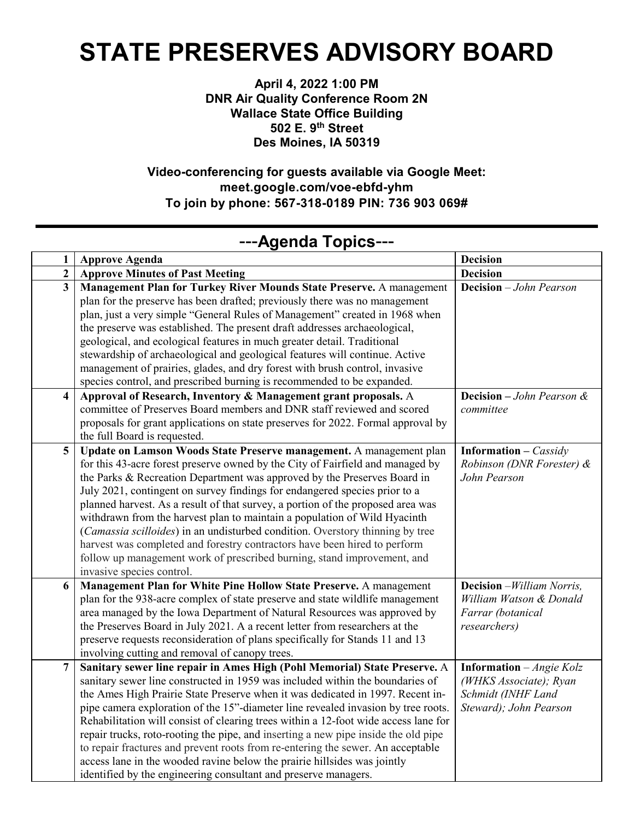## **STATE PRESERVES ADVISORY BOARD**

**April 4, 2022 1:00 PM DNR Air Quality Conference Room 2N Wallace State Office Building 502 E. 9th Street Des Moines, IA 50319**

**Video-conferencing for guests available via Google Meet: meet.google.com/voe-ebfd-yhm To [join by phone:](tel:+1-575-448-4054) 567-318-0189 PIN: 736 903 069#**

| $\mathbf{1}$            | <b>Approve Agenda</b>                                                                                                                                     | <b>Decision</b>                              |
|-------------------------|-----------------------------------------------------------------------------------------------------------------------------------------------------------|----------------------------------------------|
| $\overline{2}$          | <b>Approve Minutes of Past Meeting</b>                                                                                                                    | <b>Decision</b>                              |
| $\overline{\mathbf{3}}$ | Management Plan for Turkey River Mounds State Preserve. A management                                                                                      | <b>Decision</b> - John Pearson               |
|                         | plan for the preserve has been drafted; previously there was no management                                                                                |                                              |
|                         | plan, just a very simple "General Rules of Management" created in 1968 when                                                                               |                                              |
|                         | the preserve was established. The present draft addresses archaeological,                                                                                 |                                              |
|                         | geological, and ecological features in much greater detail. Traditional                                                                                   |                                              |
|                         | stewardship of archaeological and geological features will continue. Active                                                                               |                                              |
|                         | management of prairies, glades, and dry forest with brush control, invasive                                                                               |                                              |
|                         | species control, and prescribed burning is recommended to be expanded.                                                                                    |                                              |
| 4                       | Approval of Research, Inventory & Management grant proposals. A                                                                                           | <b>Decision</b> $-John$ <i>Pearson &amp;</i> |
|                         | committee of Preserves Board members and DNR staff reviewed and scored                                                                                    | committee                                    |
|                         | proposals for grant applications on state preserves for 2022. Formal approval by                                                                          |                                              |
|                         | the full Board is requested.                                                                                                                              |                                              |
| 5                       | Update on Lamson Woods State Preserve management. A management plan                                                                                       | <b>Information</b> – <i>Cassidy</i>          |
|                         | for this 43-acre forest preserve owned by the City of Fairfield and managed by                                                                            | Robinson (DNR Forester) &                    |
|                         | the Parks & Recreation Department was approved by the Preserves Board in                                                                                  | John Pearson                                 |
|                         | July 2021, contingent on survey findings for endangered species prior to a                                                                                |                                              |
|                         | planned harvest. As a result of that survey, a portion of the proposed area was                                                                           |                                              |
|                         | withdrawn from the harvest plan to maintain a population of Wild Hyacinth                                                                                 |                                              |
|                         | (Camassia scilloides) in an undisturbed condition. Overstory thinning by tree                                                                             |                                              |
|                         | harvest was completed and forestry contractors have been hired to perform                                                                                 |                                              |
|                         | follow up management work of prescribed burning, stand improvement, and                                                                                   |                                              |
| 6                       | invasive species control.                                                                                                                                 | <b>Decision</b> - William Norris,            |
|                         | Management Plan for White Pine Hollow State Preserve. A management                                                                                        | William Watson & Donald                      |
|                         | plan for the 938-acre complex of state preserve and state wildlife management<br>area managed by the Iowa Department of Natural Resources was approved by | Farrar (botanical                            |
|                         | the Preserves Board in July 2021. A a recent letter from researchers at the                                                                               | researchers)                                 |
|                         | preserve requests reconsideration of plans specifically for Stands 11 and 13                                                                              |                                              |
|                         | involving cutting and removal of canopy trees.                                                                                                            |                                              |
| 7                       | Sanitary sewer line repair in Ames High (Pohl Memorial) State Preserve. A                                                                                 | <b>Information</b> – <i>Angie Kolz</i>       |
|                         | sanitary sewer line constructed in 1959 was included within the boundaries of                                                                             | (WHKS Associate); Ryan                       |
|                         | the Ames High Prairie State Preserve when it was dedicated in 1997. Recent in-                                                                            | Schmidt (INHF Land                           |
|                         | pipe camera exploration of the 15"-diameter line revealed invasion by tree roots.                                                                         | Steward); John Pearson                       |
|                         | Rehabilitation will consist of clearing trees within a 12-foot wide access lane for                                                                       |                                              |
|                         | repair trucks, roto-rooting the pipe, and inserting a new pipe inside the old pipe                                                                        |                                              |
|                         | to repair fractures and prevent roots from re-entering the sewer. An acceptable                                                                           |                                              |
|                         | access lane in the wooded ravine below the prairie hillsides was jointly                                                                                  |                                              |
|                         | identified by the engineering consultant and preserve managers.                                                                                           |                                              |

## ---**Agenda Topics**---